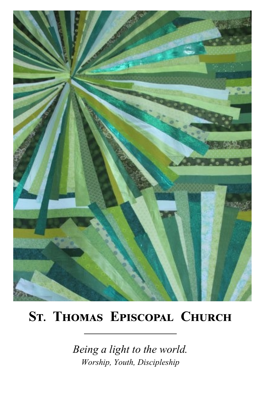

# **St. Thomas Episcopal Church**

*Being a light to the world. Worship, Youth, Discipleship*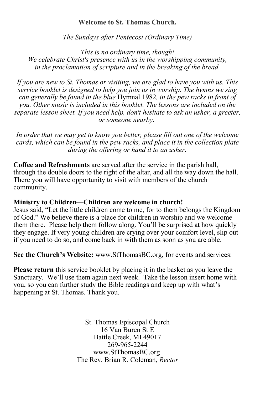#### **Welcome to St. Thomas Church.**

*The Sundays after Pentecost (Ordinary Time)*

*This is no ordinary time, though! We celebrate Christ's presence with us in the worshipping community, in the proclamation of scripture and in the breaking of the bread.*

*If you are new to St. Thomas or visiting, we are glad to have you with us. This service booklet is designed to help you join us in worship. The hymns we sing can generally be found in the blue* Hymnal 1982*, in the pew racks in front of you. Other music is included in this booklet. The lessons are included on the separate lesson sheet. If you need help, don't hesitate to ask an usher, a greeter, or someone nearby.*

*In order that we may get to know you better, please fill out one of the welcome cards, which can be found in the pew racks, and place it in the collection plate during the offering or hand it to an usher.*

**Coffee and Refreshments** are served after the service in the parish hall, through the double doors to the right of the altar, and all the way down the hall. There you will have opportunity to visit with members of the church community.

#### **Ministry to Children—Children are welcome in church!**

Jesus said, "Let the little children come to me, for to them belongs the Kingdom of God." We believe there is a place for children in worship and we welcome them there. Please help them follow along. You'll be surprised at how quickly they engage. If very young children are crying over your comfort level, slip out if you need to do so, and come back in with them as soon as you are able.

**See the Church's Website:** www.StThomasBC.org, for events and services:

**Please return** this service booklet by placing it in the basket as you leave the Sanctuary. We'll use them again next week. Take the lesson insert home with you, so you can further study the Bible readings and keep up with what's happening at St. Thomas. Thank you.

> 2 www.StThomasBC.org St. Thomas Episcopal Church 16 Van Buren St E Battle Creek, MI 49017 269-965-2244 The Rev. Brian R. Coleman, *Rector*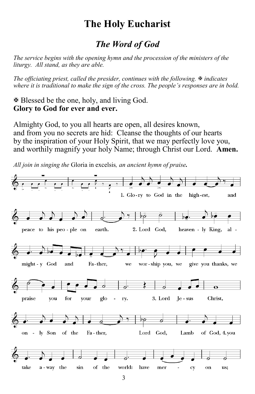# **The Holy Eucharist**

# *The Word of God*

*The service begins with the opening hymn and the procession of the ministers of the liturgy. All stand, as they are able.*

*The officiating priest, called the presider, continues with the following. indicates where it is traditional to make the sign of the cross. The people's responses are in bold.*

 Blessed be the one, holy, and living God. **Glory to God for ever and ever.**

Almighty God, to you all hearts are open, all desires known, and from you no secrets are hid: Cleanse the thoughts of our hearts by the inspiration of your Holy Spirit, that we may perfectly love you, and worthily magnify your holy Name; through Christ our Lord. **Amen.**

*All join in singing the* Gloria in excelsis*, an ancient hymn of praise.*

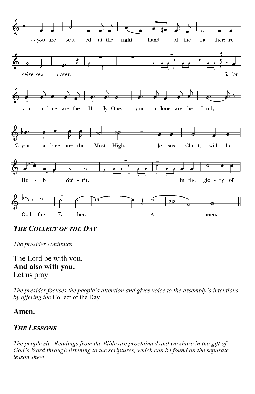

*The Collect of the Day*

*The presider continues*

The Lord be with you. **And also with you.** Let us pray.

*The presider focuses the people's attention and gives voice to the assembly's intentions by offering the* Collect of the Day

#### **Amen.**

# *The Lessons*

4 *God's Word through listening to the scriptures, which can be found on the separate The people sit. Readings from the Bible are proclaimed and we share in the gift of lesson sheet.*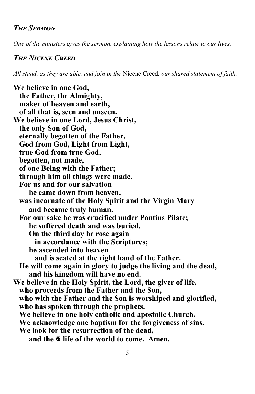## *The Sermon*

*One of the ministers gives the sermon, explaining how the lessons relate to our lives.*

#### *The Nicene Creed*

*All stand, as they are able, and join in the* Nicene Creed*, our shared statement of faith.*

**We believe in one God, the Father, the Almighty, maker of heaven and earth, of all that is, seen and unseen. We believe in one Lord, Jesus Christ, the only Son of God, eternally begotten of the Father, God from God, Light from Light, true God from true God, begotten, not made, of one Being with the Father; through him all things were made. For us and for our salvation he came down from heaven, was incarnate of the Holy Spirit and the Virgin Mary and became truly human. For our sake he was crucified under Pontius Pilate; he suffered death and was buried. On the third day he rose again in accordance with the Scriptures; he ascended into heaven and is seated at the right hand of the Father. He will come again in glory to judge the living and the dead, and his kingdom will have no end. We believe in the Holy Spirit, the Lord, the giver of life, who proceeds from the Father and the Son, who with the Father and the Son is worshiped and glorified, who has spoken through the prophets. We believe in one holy catholic and apostolic Church. We acknowledge one baptism for the forgiveness of sins. We look for the resurrection of the dead, and the life of the world to come. Amen.**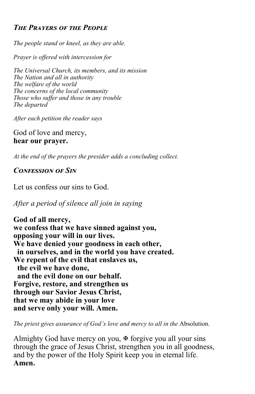# *The Prayers of the People*

*The people stand or kneel, as they are able.*

*Prayer is offered with intercession for*

*The Universal Church, its members, and its mission The Nation and all in authority The welfare of the world The concerns of the local community Those who suffer and those in any trouble The departed*

*After each petition the reader says*

God of love and mercy, **hear our prayer.**

*At the end of the prayers the presider adds a concluding collect.*

## *Confession of Sin*

Let us confess our sins to God.

*After a period of silence all join in saying*

**God of all mercy, we confess that we have sinned against you, opposing your will in our lives. We have denied your goodness in each other, in ourselves, and in the world you have created. We repent of the evil that enslaves us, the evil we have done, and the evil done on our behalf. Forgive, restore, and strengthen us through our Savior Jesus Christ, that we may abide in your love and serve only your will. Amen.**

*The priest gives assurance of God's love and mercy to all in the* Absolution.

and by the power of the Holy Spirit keep you in eternal life. Almighty God have mercy on you,  $\mathcal F$  forgive you all your sins through the grace of Jesus Christ, strengthen you in all goodness, **Amen.**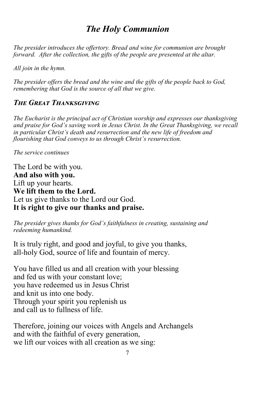# *The Holy Communion*

*The presider introduces the offertory. Bread and wine for communion are brought forward. After the collection, the gifts of the people are presented at the altar.* 

*All join in the hymn.*

*The presider offers the bread and the wine and the gifts of the people back to God, remembering that God is the source of all that we give.*

#### *The Great Thanksgiving*

*The Eucharist is the principal act of Christian worship and expresses our thanksgiving and praise for God's saving work in Jesus Christ. In the Great Thanksgiving, we recall in particular Christ's death and resurrection and the new life of freedom and flourishing that God conveys to us through Christ's resurrection.*

*The service continues*

The Lord be with you. **And also with you.** Lift up your hearts. **We lift them to the Lord.** Let us give thanks to the Lord our God. **It is right to give our thanks and praise.**

*The presider gives thanks for God's faithfulness in creating, sustaining and redeeming humankind.* 

It is truly right, and good and joyful, to give you thanks, all-holy God, source of life and fountain of mercy.

You have filled us and all creation with your blessing and fed us with your constant love; you have redeemed us in Jesus Christ and knit us into one body. Through your spirit you replenish us and call us to fullness of life.

Therefore, joining our voices with Angels and Archangels and with the faithful of every generation, we lift our voices with all creation as we sing: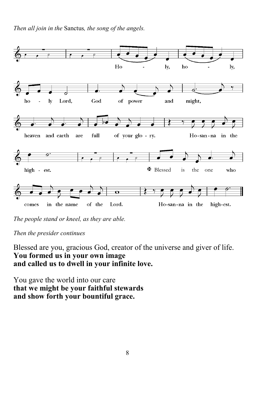*Then all join in the* Sanctus*, the song of the angels.*



*The people stand or kneel, as they are able.*

*Then the presider continues*

Blessed are you, gracious God, creator of the universe and giver of life. **You formed us in your own image and called us to dwell in your infinite love.**

You gave the world into our care **that we might be your faithful stewards and show forth your bountiful grace.**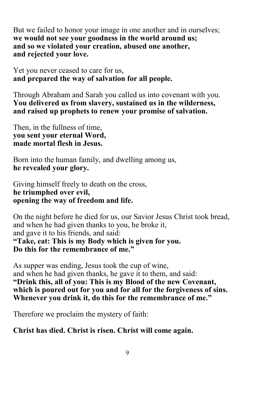But we failed to honor your image in one another and in ourselves; **we would not see your goodness in the world around us; and so we violated your creation, abused one another, and rejected your love.**

Yet you never ceased to care for us, **and prepared the way of salvation for all people.**

Through Abraham and Sarah you called us into covenant with you. **You delivered us from slavery, sustained us in the wilderness, and raised up prophets to renew your promise of salvation.**

Then, in the fullness of time, **you sent your eternal Word, made mortal flesh in Jesus.**

Born into the human family, and dwelling among us, **he revealed your glory.**

Giving himself freely to death on the cross, **he triumphed over evil, opening the way of freedom and life.**

On the night before he died for us, our Savior Jesus Christ took bread, and when he had given thanks to you, he broke it, and gave it to his friends, and said: **"Take, eat: This is my Body which is given for you. Do this for the remembrance of me."**

As supper was ending, Jesus took the cup of wine, and when he had given thanks, he gave it to them, and said: **"Drink this, all of you: This is my Blood of the new Covenant, which is poured out for you and for all for the forgiveness of sins. Whenever you drink it, do this for the remembrance of me."**

Therefore we proclaim the mystery of faith:

**Christ has died. Christ is risen. Christ will come again.**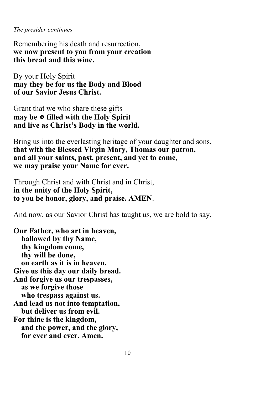*The presider continues*

Remembering his death and resurrection, **we now present to you from your creation this bread and this wine.**

By your Holy Spirit **may they be for us the Body and Blood of our Savior Jesus Christ.**

Grant that we who share these gifts **may be filled with the Holy Spirit and live as Christ's Body in the world.**

Bring us into the everlasting heritage of your daughter and sons, **that with the Blessed Virgin Mary, Thomas our patron, and all your saints, past, present, and yet to come, we may praise your Name for ever.**

Through Christ and with Christ and in Christ, **in the unity of the Holy Spirit, to you be honor, glory, and praise. AMEN**.

And now, as our Savior Christ has taught us, we are bold to say,

**Our Father, who art in heaven, hallowed by thy Name, thy kingdom come, thy will be done, on earth as it is in heaven. Give us this day our daily bread. And forgive us our trespasses, as we forgive those who trespass against us. And lead us not into temptation, but deliver us from evil. For thine is the kingdom, and the power, and the glory, for ever and ever. Amen.**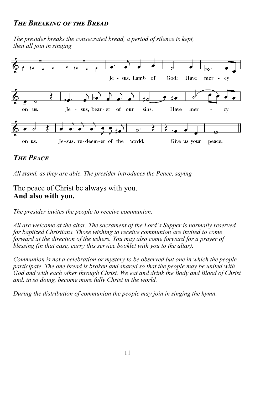## *The Breaking of the Bread*

*The presider breaks the consecrated bread, a period of silence is kept, then all join in singing*



# *The Peace*

*All stand, as they are able. The presider introduces the Peace, saying*

The peace of Christ be always with you. **And also with you.**

*The presider invites the people to receive communion.*

*All are welcome at the altar. The sacrament of the Lord's Supper is normally reserved for baptized Christians. Those wishing to receive communion are invited to come forward at the direction of the ushers. You may also come forward for a prayer of blessing (in that case, carry this service booklet with you to the altar).* 

*Communion is not a celebration or mystery to be observed but one in which the people participate. The one bread is broken and shared so that the people may be united with God and with each other through Christ. We eat and drink the Body and Blood of Christ and, in so doing, become more fully Christ in the world.*

*During the distribution of communion the people may join in singing the hymn.*